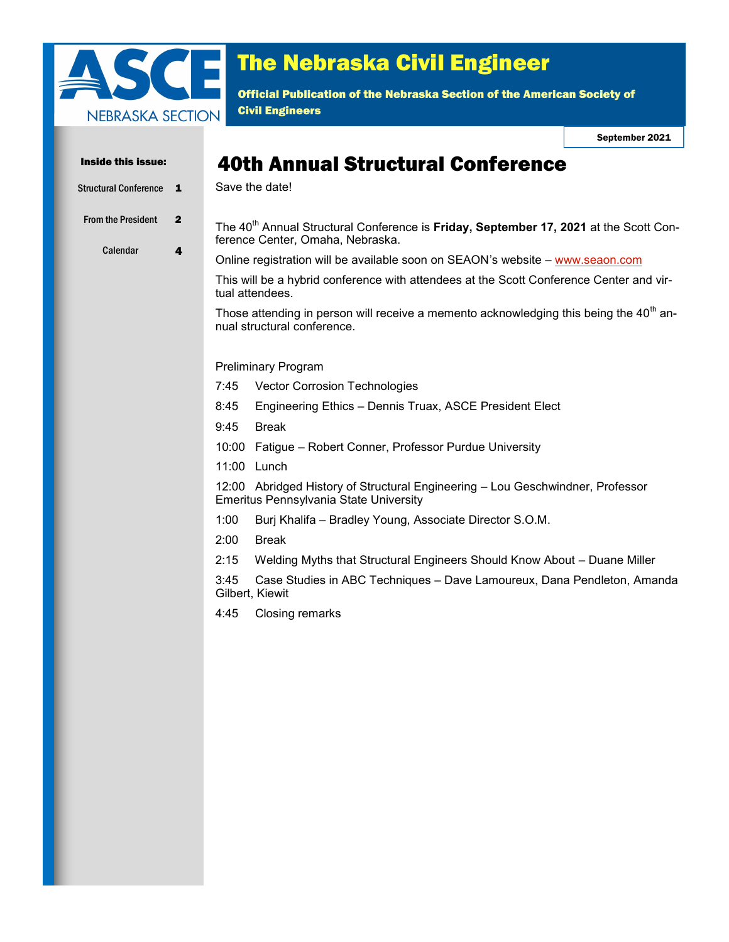

# The Nebraska Civil Engineer

Official Publication of the Nebraska Section of the American Society of Civil Engineers

September 2021

| Inside this issue:                    |                   | <b>40th Annual Structural Conference</b>                                                                                              |
|---------------------------------------|-------------------|---------------------------------------------------------------------------------------------------------------------------------------|
| <b>Structural Conference</b>          | $\mathbf{1}$      | Save the date!                                                                                                                        |
| <b>From the President</b><br>Calendar | $\mathbf{2}$<br>4 | The 40 <sup>th</sup> Annual Structural Conference is Friday, September 17, 2021 at the Scott Con-<br>ference Center, Omaha, Nebraska. |
|                                       |                   | Online registration will be available soon on SEAON's website - www.seaon.com                                                         |
|                                       |                   | This will be a hybrid conference with attendees at the Scott Conference Center and vir-<br>tual attendees.                            |
|                                       |                   | Those attending in person will receive a memento acknowledging this being the $40th$ an-<br>nual structural conference.               |
|                                       |                   | <b>Preliminary Program</b>                                                                                                            |
|                                       |                   | 7:45<br>Vector Corrosion Technologies                                                                                                 |
|                                       |                   | Engineering Ethics - Dennis Truax, ASCE President Elect<br>8:45                                                                       |
|                                       |                   | 9:45<br><b>Break</b>                                                                                                                  |
|                                       |                   | Fatigue - Robert Conner, Professor Purdue University<br>10:00                                                                         |
|                                       |                   | 11:00 Lunch                                                                                                                           |
|                                       |                   | 12:00 Abridged History of Structural Engineering - Lou Geschwindner, Professor<br>Emeritus Pennsylvania State University              |
|                                       |                   | 1:00<br>Burj Khalifa - Bradley Young, Associate Director S.O.M.                                                                       |
|                                       |                   | 2:00<br><b>Break</b>                                                                                                                  |
|                                       |                   | 2:15<br>Welding Myths that Structural Engineers Should Know About - Duane Miller                                                      |
|                                       |                   | Case Studies in ABC Techniques - Dave Lamoureux, Dana Pendleton, Amanda<br>3:45<br>Gilbert, Kiewit                                    |
|                                       |                   | 4:45<br>Closing remarks                                                                                                               |
|                                       |                   |                                                                                                                                       |
|                                       |                   |                                                                                                                                       |
|                                       |                   |                                                                                                                                       |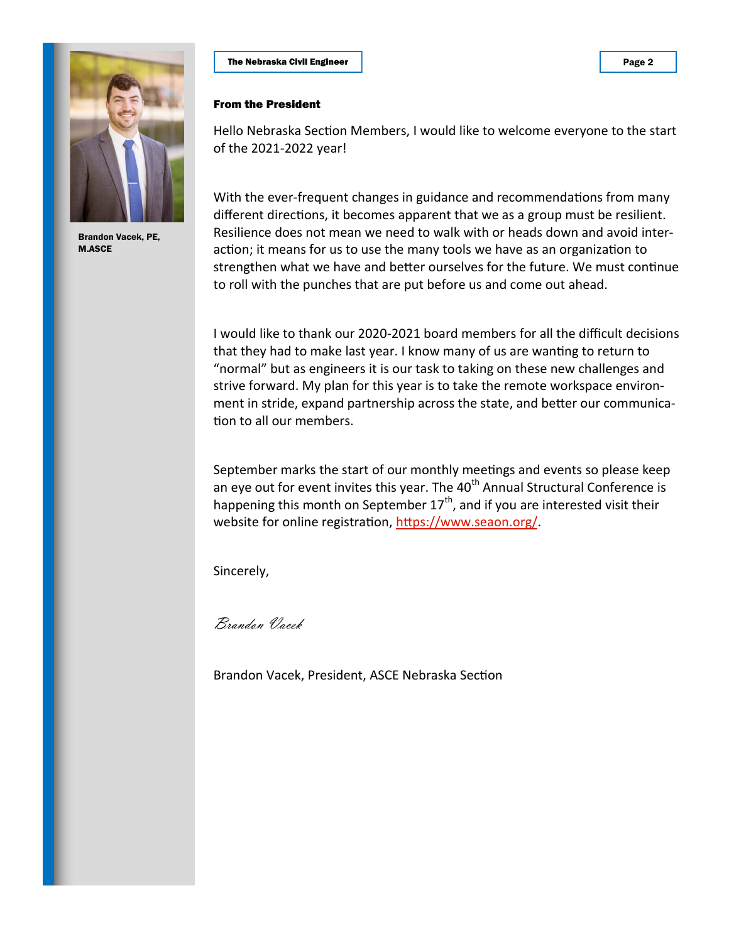

Brandon Vacek, PE, M.ASCE

## The Nebraska Civil Engineer

### From the President

Hello Nebraska Section Members, I would like to welcome everyone to the start of the 2021-2022 year!

With the ever-frequent changes in guidance and recommendations from many different directions, it becomes apparent that we as a group must be resilient. Resilience does not mean we need to walk with or heads down and avoid interaction; it means for us to use the many tools we have as an organization to strengthen what we have and better ourselves for the future. We must continue to roll with the punches that are put before us and come out ahead.

I would like to thank our 2020-2021 board members for all the difficult decisions that they had to make last year. I know many of us are wanting to return to "normal" but as engineers it is our task to taking on these new challenges and strive forward. My plan for this year is to take the remote workspace environment in stride, expand partnership across the state, and better our communication to all our members.

September marks the start of our monthly meetings and events so please keep an eye out for event invites this year. The  $40<sup>th</sup>$  Annual Structural Conference is happening this month on September  $17<sup>th</sup>$ , and if you are interested visit their website for online registration, [https://www.seaon.org/.](https://www.seaon.org/) 

Sincerely,

Brandon Vacek

Brandon Vacek, President, ASCE Nebraska Section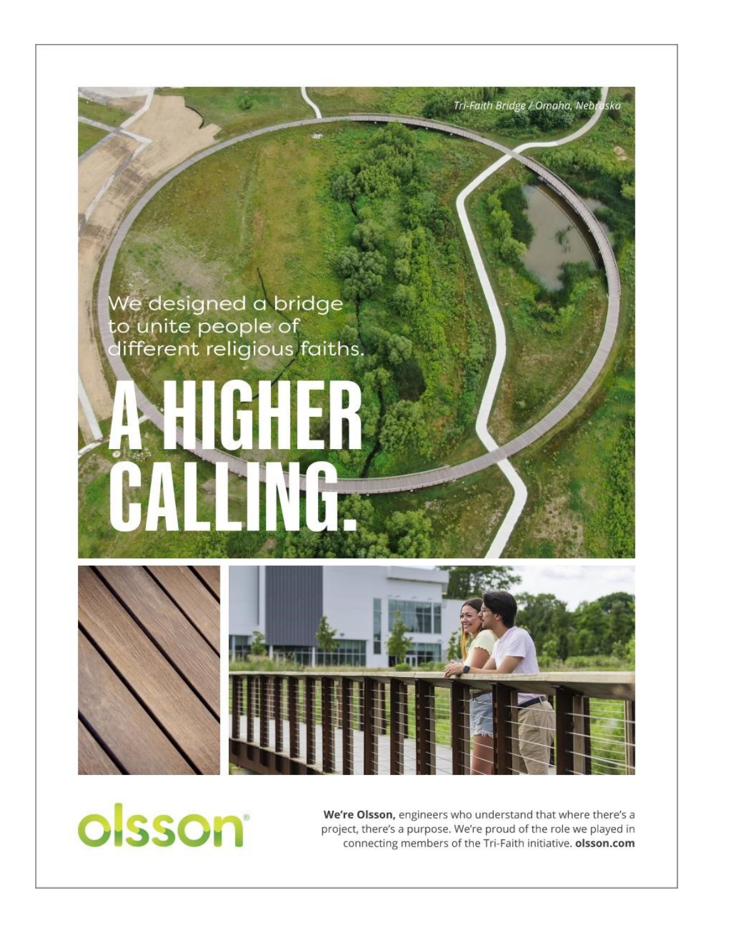

olsson®

We're Olsson, engineers who understand that where there's a project, there's a purpose. We're proud of the role we played in connecting members of the Tri-Faith initiative. olsson.com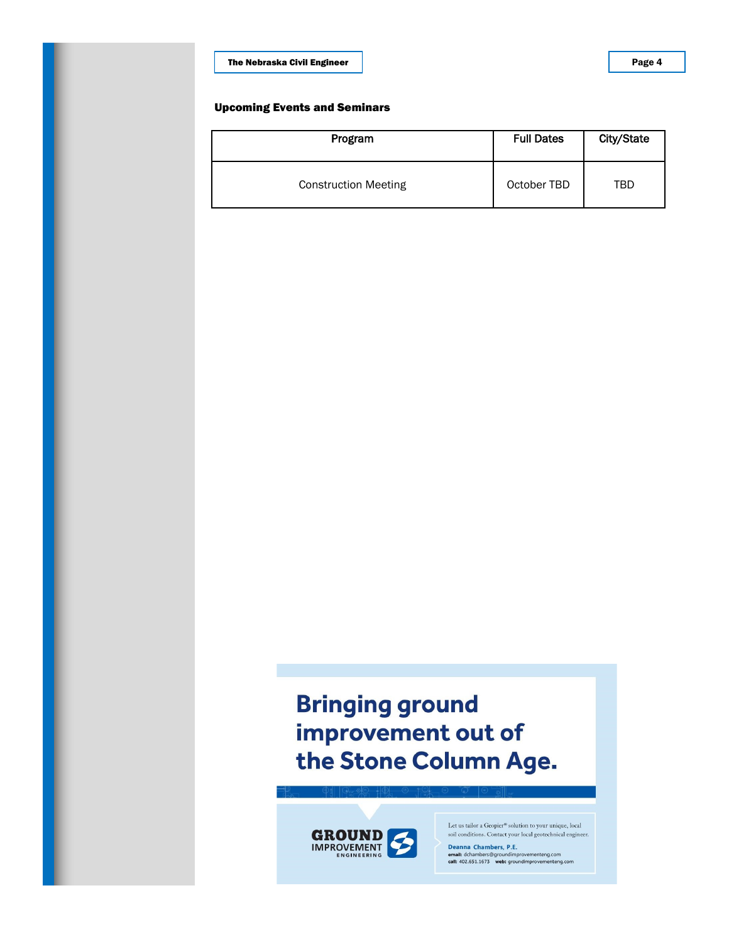The Nebraska Civil Engineer

### Upcoming Events and Seminars

| Program                     | <b>Full Dates</b> | City/State |
|-----------------------------|-------------------|------------|
| <b>Construction Meeting</b> | October TBD       | TBD        |

## **Bringing ground** improvement out of the Stone Column Age.



Let us tailor a Geopier® solution to your unique, local soil conditions. Contact your local geotechnical engineer.

Deanna Chambers, P.E. Deanna Chambers, P.E.<br>email: dchambers@groundimprovementeng.com<br>call: 402.651.1673 web: groundimprovementeng.com Page 4